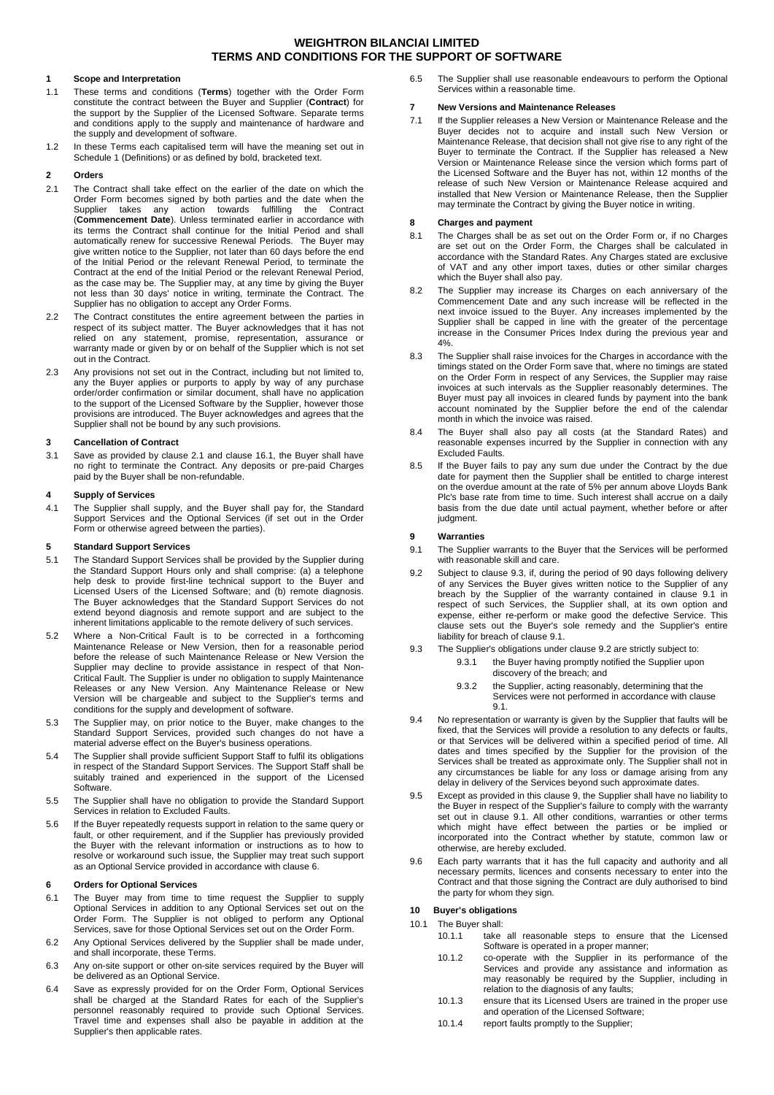#### **1 Scope and Interpretation**

- 1.1 These terms and conditions (**Terms**) together with the Order Form constitute the contract between the Buyer and Supplier (**Contract**) for the support by the Supplier of the Licensed Software. Separate terms and conditions apply to the supply and maintenance of hardware and the supply and development of software.
- 1.2 In these Terms each capitalised term will have the meaning set out in Schedule 1 (Definitions) or as defined by bold, bracketed text.

## **2 Orders**

- <span id="page-0-0"></span>2.1 The Contract shall take effect on the earlier of the date on which the Order Form becomes signed by both parties and the date when the Supplier takes any action towards fulfilling the Contract (**Commencement Date**). Unless terminated earlier in accordance with its terms the Contract shall continue for the Initial Period and shall automatically renew for successive Renewal Periods. The Buyer may give written notice to the Supplier, not later than 60 days before the end of the Initial Period or the relevant Renewal Period, to terminate the Contract at the end of the Initial Period or the relevant Renewal Period, as the case may be. The Supplier may, at any time by giving the Buyer not less than 30 days' notice in writing, terminate the Contract. The Supplier has no obligation to accept any Order Forms.
- 2.2 The Contract constitutes the entire agreement between the parties in respect of its subject matter. The Buyer acknowledges that it has not relied on any statement, promise, representation, assurance or warranty made or given by or on behalf of the Supplier which is not set out in the Contract.
- 2.3 Any provisions not set out in the Contract, including but not limited to, any the Buyer applies or purports to apply by way of any purchase order/order confirmation or similar document, shall have no application to the support of the Licensed Software by the Supplier, however those provisions are introduced. The Buyer acknowledges and agrees that the Supplier shall not be bound by any such provisions.

#### **3 Cancellation of Contract**

3.1 Save as provided by clause [2.1](#page-0-0) and claus[e 16.1,](#page-1-0) the Buyer shall have no right to terminate the Contract. Any deposits or pre-paid Charges paid by the Buyer shall be non-refundable.

### **4 Supply of Services**

4.1 The Supplier shall supply, and the Buyer shall pay for, the Standard Support Services and the Optional Services (if set out in the Order Form or otherwise agreed between the parties).

### **5 Standard Support Services**

- 5.1 The Standard Support Services shall be provided by the Supplier during the Standard Support Hours only and shall comprise: (a) a telephone help desk to provide first-line technical support to the Buyer and Licensed Users of the Licensed Software; and (b) remote diagnosis. The Buyer acknowledges that the Standard Support Services do not extend beyond diagnosis and remote support and are subject to the inherent limitations applicable to the remote delivery of such services.
- 5.2 Where a Non-Critical Fault is to be corrected in a forthcoming Maintenance Release or New Version, then for a reasonable period before the release of such Maintenance Release or New Version the Supplier may decline to provide assistance in respect of that Non-Critical Fault. The Supplier is under no obligation to supply Maintenance Releases or any New Version. Any Maintenance Release or New Version will be chargeable and subject to the Supplier's terms and conditions for the supply and development of software.
- 5.3 The Supplier may, on prior notice to the Buyer, make changes to the Standard Support Services, provided such changes do not have a material adverse effect on the Buyer's business operations.
- 5.4 The Supplier shall provide sufficient Support Staff to fulfil its obligations in respect of the Standard Support Services. The Support Staff shall be suitably trained and experienced in the support of the Licensed Software.
- 5.5 The Supplier shall have no obligation to provide the Standard Support Services in relation to Excluded Faults.
- 5.6 If the Buyer repeatedly requests support in relation to the same query or fault, or other requirement, and if the Supplier has previously provided the Buyer with the relevant information or instructions as to how to resolve or workaround such issue, the Supplier may treat such support as an Optional Service provided in accordance with claus[e 6.](#page-0-1)

#### <span id="page-0-1"></span>**6 Orders for Optional Services**

- 6.1 The Buyer may from time to time request the Supplier to supply Optional Services in addition to any Optional Services set out on the Order Form. The Supplier is not obliged to perform any Optional Services, save for those Optional Services set out on the Order Form.
- 6.2 Any Optional Services delivered by the Supplier shall be made under, and shall incorporate, these Terms.
- 6.3 Any on-site support or other on-site services required by the Buyer will be delivered as an Optional Service.
- 6.4 Save as expressly provided for on the Order Form, Optional Services shall be charged at the Standard Rates for each of the Supplier's personnel reasonably required to provide such Optional Services. Travel time and expenses shall also be payable in addition at the Supplier's then applicable rates.

6.5 The Supplier shall use reasonable endeavours to perform the Optional Services within a reasonable time.

## **7 New Versions and Maintenance Releases**

7.1 If the Supplier releases a New Version or Maintenance Release and the Buyer decides not to acquire and install such New Version or Maintenance Release, that decision shall not give rise to any right of the Buyer to terminate the Contract. If the Supplier has released a New Version or Maintenance Release since the version which forms part of the Licensed Software and the Buyer has not, within 12 months of the release of such New Version or Maintenance Release acquired and installed that New Version or Maintenance Release, then the Supplier may terminate the Contract by giving the Buyer notice in writing.

# **8 Charges and payment**

- 8.1 The Charges shall be as set out on the Order Form or, if no Charges are set out on the Order Form, the Charges shall be calculated in accordance with the Standard Rates. Any Charges stated are exclusive of VAT and any other import taxes, duties or other similar charges which the Buyer shall also pay.
- <span id="page-0-7"></span>8.2 The Supplier may increase its Charges on each anniversary of the Commencement Date and any such increase will be reflected in the next invoice issued to the Buyer. Any increases implemented by the Supplier shall be capped in line with the greater of the percentage increase in the Consumer Prices Index during the previous year and 4%.
- 8.3 The Supplier shall raise invoices for the Charges in accordance with the timings stated on the Order Form save that, where no timings are stated on the Order Form in respect of any Services, the Supplier may raise invoices at such intervals as the Supplier reasonably determines. The Buyer must pay all invoices in cleared funds by payment into the bank account nominated by the Supplier before the end of the calendar month in which the invoice was raised.
- 8.4 The Buyer shall also pay all costs (at the Standard Rates) and reasonable expenses incurred by the Supplier in connection with any Excluded Faults.
- 8.5 If the Buyer fails to pay any sum due under the Contract by the due date for payment then the Supplier shall be entitled to charge interest on the overdue amount at the rate of 5% per annum above Lloyds Bank Plc's base rate from time to time. Such interest shall accrue on a daily basis from the due date until actual payment, whether before or after judgment.

#### <span id="page-0-5"></span>**9 Warranties**

- <span id="page-0-3"></span>9.1 The Supplier warrants to the Buyer that the Services will be performed with reasonable skill and care.
- <span id="page-0-4"></span>9.2 Subject to clause [9.3,](#page-0-2) if, during the period of 90 days following delivery of any Services the Buyer gives written notice to the Supplier of any breach by the Supplier of the warranty contained in clause [9.1](#page-0-3) in respect of such Services, the Supplier shall, at its own option and expense, either re-perform or make good the defective Service. This clause sets out the Buyer's sole remedy and the Supplier's entire liability for breach of claus[e 9.1.](#page-0-3)
- <span id="page-0-2"></span>9.3 The Supplier's obligations under claus[e 9.2](#page-0-4) are strictly subject to:
	- 9.3.1 the Buyer having promptly notified the Supplier upon discovery of the breach; and
	- 9.3.2 the Supplier, acting reasonably, determining that the Services were not performed in accordance with clause [9.1.](#page-0-3)
- 9.4 No representation or warranty is given by the Supplier that faults will be fixed, that the Services will provide a resolution to any defects or faults, or that Services will be delivered within a specified period of time. All dates and times specified by the Supplier for the provision of the Services shall be treated as approximate only. The Supplier shall not in any circumstances be liable for any loss or damage arising from any delay in delivery of the Services beyond such approximate dates
- 9.5 Except as provided in this clause [9,](#page-0-5) the Supplier shall have no liability to the Buyer in respect of the Supplier's failure to comply with the warranty set out in clause [9.1.](#page-0-3) All other conditions, warranties or other terms which might have effect between the parties or be implied or incorporated into the Contract whether by statute, common law or otherwise, are hereby excluded.
- 9.6 Each party warrants that it has the full capacity and authority and all necessary permits, licences and consents necessary to enter into the Contract and that those signing the Contract are duly authorised to bind the party for whom they sign.

# <span id="page-0-6"></span>**10 Buyer's obligations**

#### 10.1 The Buyer shall:

- 10.1.1 take all reasonable steps to ensure that the Licensed Software is operated in a proper manner;
- 10.1.2 co-operate with the Supplier in its performance of the Services and provide any assistance and information as may reasonably be required by the Supplier, including in relation to the diagnosis of any faults;
- 10.1.3 ensure that its Licensed Users are trained in the proper use and operation of the Licensed Software;
- 10.1.4 report faults promptly to the Supplier: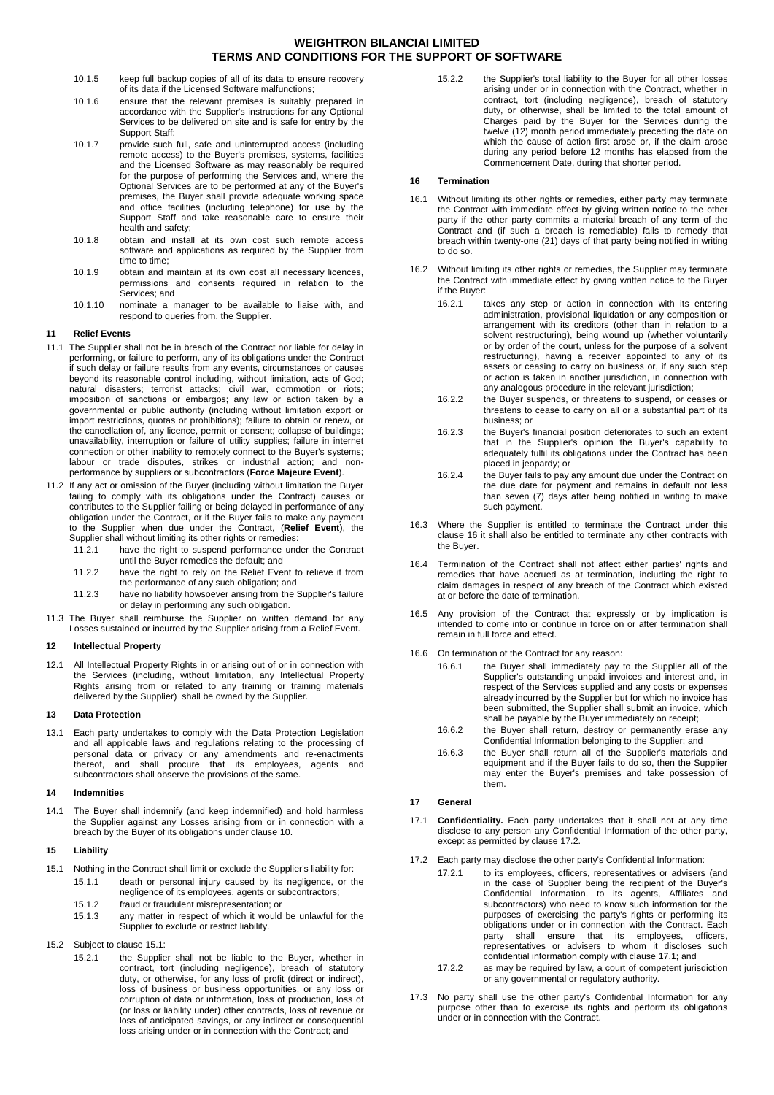- 10.1.5 keep full backup copies of all of its data to ensure recovery of its data if the Licensed Software malfunctions;
- 10.1.6 ensure that the relevant premises is suitably prepared in accordance with the Supplier's instructions for any Optional Services to be delivered on site and is safe for entry by the Support Staff;
- 10.1.7 provide such full, safe and uninterrupted access (including remote access) to the Buyer's premises, systems, facilities and the Licensed Software as may reasonably be required for the purpose of performing the Services and, where the Optional Services are to be performed at any of the Buyer's premises, the Buyer shall provide adequate working space and office facilities (including telephone) for use by the Support Staff and take reasonable care to ensure their health and safety;
- 10.1.8 obtain and install at its own cost such remote access software and applications as required by the Supplier from time to time;
- 10.1.9 obtain and maintain at its own cost all necessary licences, permissions and consents required in relation to the Services; and
- 10.1.10 nominate a manager to be available to liaise with, and respond to queries from, the Supplier.

## **11 Relief Events**

- 11.1 The Supplier shall not be in breach of the Contract nor liable for delay in performing, or failure to perform, any of its obligations under the Contract if such delay or failure results from any events, circumstances or causes beyond its reasonable control including, without limitation, acts of God; natural disasters; terrorist attacks; civil war, commotion or riots; imposition of sanctions or embargos; any law or action taken by a governmental or public authority (including without limitation export or import restrictions, quotas or prohibitions); failure to obtain or renew, or the cancellation of, any licence, permit or consent; collapse of buildings; unavailability, interruption or failure of utility supplies; failure in internet connection or other inability to remotely connect to the Buyer's systems; labour or trade disputes, strikes or industrial action; and nonperformance by suppliers or subcontractors (**Force Majeure Event**).
- 11.2 If any act or omission of the Buyer (including without limitation the Buyer failing to comply with its obligations under the Contract) causes or contributes to the Supplier failing or being delayed in performance of any obligation under the Contract, or if the Buyer fails to make any payment to the Supplier when due under the Contract, (**Relief Event**), the Supplier shall without limiting its other rights or remedies:
	- 11.2.1 have the right to suspend performance under the Contract until the Buyer remedies the default; and
	- 11.2.2 have the right to rely on the Relief Event to relieve it from the performance of any such obligation; and
	- 11.2.3 have no liability howsoever arising from the Supplier's failure or delay in performing any such obligation.
- 11.3 The Buyer shall reimburse the Supplier on written demand for any Losses sustained or incurred by the Supplier arising from a Relief Event.

### **12 Intellectual Property**

12.1 All Intellectual Property Rights in or arising out of or in connection with the Services (including, without limitation, any Intellectual Property Rights arising from or related to any training or training materials delivered by the Supplier) shall be owned by the Supplier.

#### **13 Data Protection**

13.1 Each party undertakes to comply with the Data Protection Legislation and all applicable laws and regulations relating to the processing of personal data or privacy or any amendments and re-enactments thereof, and shall procure that its employees, agents and subcontractors shall observe the provisions of the same.

#### **14 Indemnities**

14.1 The Buyer shall indemnify (and keep indemnified) and hold harmless the Supplier against any Losses arising from or in connection with a breach by the Buyer of its obligations under clause [10.](#page-0-6)

## **15 Liability**

- <span id="page-1-1"></span>15.1 Nothing in the Contract shall limit or exclude the Supplier's liability for:
	- 15.1.1 death or personal injury caused by its negligence, or the negligence of its employees, agents or subcontractors;
	- 15.1.2 fraud or fraudulent misrepresentation; or
	- 15.1.3 any matter in respect of which it would be unlawful for the Supplier to exclude or restrict liability.
- 15.2 Subject to clause [15.1:](#page-1-1)
	- 15.2.1 the Supplier shall not be liable to the Buyer, whether in contract, tort (including negligence), breach of statutory duty, or otherwise, for any loss of profit (direct or indirect), loss of business or business opportunities, or any loss or corruption of data or information, loss of production, loss of (or loss or liability under) other contracts, loss of revenue or loss of anticipated savings, or any indirect or consequential loss arising under or in connection with the Contract; and

15.2.2 the Supplier's total liability to the Buyer for all other losses arising under or in connection with the Contract, whether in contract, tort (including negligence), breach of statutory duty, or otherwise, shall be limited to the total amount of Charges paid by the Buyer for the Services during the twelve (12) month period immediately preceding the date on which the cause of action first arose or, if the claim arose during any period before 12 months has elapsed from the Commencement Date, during that shorter period.

#### <span id="page-1-2"></span>**16 Termination**

- <span id="page-1-0"></span>16.1 Without limiting its other rights or remedies, either party may terminate the Contract with immediate effect by giving written notice to the other party if the other party commits a material breach of any term of the Contract and (if such a breach is remediable) fails to remedy that breach within twenty-one (21) days of that party being notified in writing to do so.
- 16.2 Without limiting its other rights or remedies, the Supplier may terminate the Contract with immediate effect by giving written notice to the Buyer if the Buyer:
	- 16.2.1 takes any step or action in connection with its entering administration, provisional liquidation or any composition or arrangement with its creditors (other than in relation to a solvent restructuring), being wound up (whether voluntarily or by order of the court, unless for the purpose of a solvent restructuring), having a receiver appointed to any of its assets or ceasing to carry on business or, if any such step or action is taken in another jurisdiction, in connection with any analogous procedure in the relevant jurisdiction;
	- 16.2.2 the Buyer suspends, or threatens to suspend, or ceases or threatens to cease to carry on all or a substantial part of its business; or
	- 16.2.3 the Buyer's financial position deteriorates to such an extent that in the Supplier's opinion the Buyer's capability to adequately fulfil its obligations under the Contract has been placed in jeopardy; or
	- 16.2.4 the Buyer fails to pay any amount due under the Contract on the due date for payment and remains in default not less than seven (7) days after being notified in writing to make such payment.
- 16.3 Where the Supplier is entitled to terminate the Contract under this clause [16](#page-1-2) it shall also be entitled to terminate any other contracts with the Buyer.
- 16.4 Termination of the Contract shall not affect either parties' rights and remedies that have accrued as at termination, including the right to claim damages in respect of any breach of the Contract which existed at or before the date of termination.
- 16.5 Any provision of the Contract that expressly or by implication is intended to come into or continue in force on or after termination shall remain in full force and effect.
- 16.6 On termination of the Contract for any reason:
	- 16.6.1 the Buyer shall immediately pay to the Supplier all of the Supplier's outstanding unpaid invoices and interest and, in respect of the Services supplied and any costs or expenses already incurred by the Supplier but for which no invoice has been submitted, the Supplier shall submit an invoice, which shall be payable by the Buyer immediately on receipt;
	- 16.6.2 the Buyer shall return, destroy or permanently erase any Confidential Information belonging to the Supplier; and
	- 16.6.3 the Buyer shall return all of the Supplier's materials and equipment and if the Buyer fails to do so, then the Supplier may enter the Buyer's premises and take possession of them.

## **17 General**

- <span id="page-1-4"></span>17.1 **Confidentiality.** Each party undertakes that it shall not at any time disclose to any person any Confidential Information of the other party, except as permitted by claus[e 17.2.](#page-1-3)
- <span id="page-1-3"></span>17.2 Each party may disclose the other party's Confidential Information:
	- 17.2.1 to its employees, officers, representatives or advisers (and in the case of Supplier being the recipient of the Buyer's Confidential Information, to its agents, Affiliates and subcontractors) who need to know such information for the purposes of exercising the party's rights or performing its obligations under or in connection with the Contract. Each party shall ensure that its employees, officers, representatives or advisers to whom it discloses such confidential information comply with claus[e 17.1;](#page-1-4) and
	- 17.2.2 as may be required by law, a court of competent jurisdiction or any governmental or regulatory authority.
- 17.3 No party shall use the other party's Confidential Information for any purpose other than to exercise its rights and perform its obligations under or in connection with the Contract.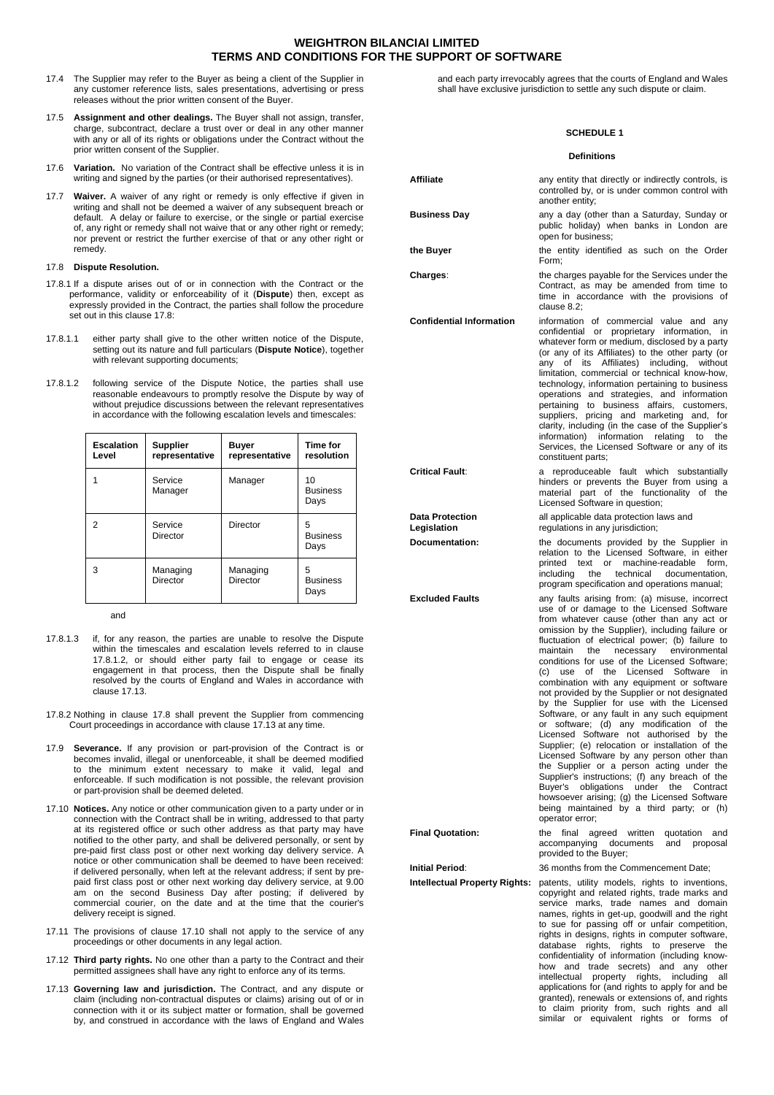- 17.4 The Supplier may refer to the Buyer as being a client of the Supplier in any customer reference lists, sales presentations, advertising or press releases without the prior written consent of the Buyer.
- 17.5 **Assignment and other dealings.** The Buyer shall not assign, transfer, charge, subcontract, declare a trust over or deal in any other manner with any or all of its rights or obligations under the Contract without the prior written consent of the Supplier.
- 17.6 **Variation.** No variation of the Contract shall be effective unless it is in writing and signed by the parties (or their authorised representatives).
- 17.7 **Waiver.** A waiver of any right or remedy is only effective if given in writing and shall not be deemed a waiver of any subsequent breach or default. A delay or failure to exercise, or the single or partial exercise of, any right or remedy shall not waive that or any other right or remedy; nor prevent or restrict the further exercise of that or any other right or remedy.

#### <span id="page-2-0"></span>17.8 **Dispute Resolution.**

- 17.8.1 If a dispute arises out of or in connection with the Contract or the performance, validity or enforceability of it (**Dispute**) then, except as expressly provided in the Contract, the parties shall follow the procedure set out in this clause [17.8:](#page-2-0)
- 17.8.1.1 either party shall give to the other written notice of the Dispute, setting out its nature and full particulars (**Dispute Notice**), together with relevant supporting documents;
- <span id="page-2-1"></span>17.8.1.2 following service of the Dispute Notice, the parties shall use reasonable endeavours to promptly resolve the Dispute by way of without prejudice discussions between the relevant representatives in accordance with the following escalation levels and timescales:

| <b>Escalation</b><br>Level | <b>Supplier</b><br>representative | <b>Buyer</b><br>representative | <b>Time for</b><br>resolution |
|----------------------------|-----------------------------------|--------------------------------|-------------------------------|
|                            | Service<br>Manager                | Manager                        | 10<br><b>Business</b><br>Days |
| 2                          | Service<br>Director               | Director                       | 5<br><b>Business</b><br>Days  |
| 3                          | Managing<br>Director              | Managing<br>Director           | 5<br><b>Business</b><br>Days  |

and

- 17.8.1.3 if, for any reason, the parties are unable to resolve the Dispute within the timescales and escalation levels referred to in clause [17.8.1.2,](#page-2-1) or should either party fail to engage or cease its engagement in that process, then the Dispute shall be finally resolved by the courts of England and Wales in accordance with clause [17.13.](#page-2-2)
- 17.8.2 Nothing in clause [17.8](#page-2-0) shall prevent the Supplier from commencing Court proceedings in accordance with clause [17.13](#page-2-2) at any time.
- 17.9 **Severance.** If any provision or part-provision of the Contract is or becomes invalid, illegal or unenforceable, it shall be deemed modified to the minimum extent necessary to make it valid, legal and enforceable. If such modification is not possible, the relevant provision or part-provision shall be deemed deleted.
- <span id="page-2-3"></span>17.10 **Notices.** Any notice or other communication given to a party under or in connection with the Contract shall be in writing, addressed to that party at its registered office or such other address as that party may have notified to the other party, and shall be delivered personally, or sent by pre-paid first class post or other next working day delivery service. A notice or other communication shall be deemed to have been received: if delivered personally, when left at the relevant address; if sent by prepaid first class post or other next working day delivery service, at 9.00 am on the second Business Day after posting; if delivered by commercial courier, on the date and at the time that the courier's delivery receipt is signed.
- 17.11 The provisions of clause [17.10](#page-2-3) shall not apply to the service of any proceedings or other documents in any legal action.
- 17.12 **Third party rights.** No one other than a party to the Contract and their permitted assignees shall have any right to enforce any of its terms.
- <span id="page-2-2"></span>17.13 **Governing law and jurisdiction.** The Contract, and any dispute or claim (including non-contractual disputes or claims) arising out of or in connection with it or its subject matter or formation, shall be governed by, and construed in accordance with the laws of England and Wales

and each party irrevocably agrees that the courts of England and Wales shall have exclusive jurisdiction to settle any such dispute or claim.

#### **SCHEDULE 1**

|                                       | Definitions                                                                                                                                                                                                                                                                                                                                                                                                                                                                                                                                                                                                                                                                                                                                                                                                                                                                                                                                                                                                                                 |
|---------------------------------------|---------------------------------------------------------------------------------------------------------------------------------------------------------------------------------------------------------------------------------------------------------------------------------------------------------------------------------------------------------------------------------------------------------------------------------------------------------------------------------------------------------------------------------------------------------------------------------------------------------------------------------------------------------------------------------------------------------------------------------------------------------------------------------------------------------------------------------------------------------------------------------------------------------------------------------------------------------------------------------------------------------------------------------------------|
| Affiliate                             | any entity that directly or indirectly controls, is<br>controlled by, or is under common control with<br>another entity;                                                                                                                                                                                                                                                                                                                                                                                                                                                                                                                                                                                                                                                                                                                                                                                                                                                                                                                    |
| <b>Business Day</b>                   | any a day (other than a Saturday, Sunday or<br>public holiday) when banks in London are<br>open for business;                                                                                                                                                                                                                                                                                                                                                                                                                                                                                                                                                                                                                                                                                                                                                                                                                                                                                                                               |
| the Buyer                             | the entity identified as such on the Order<br>Form;                                                                                                                                                                                                                                                                                                                                                                                                                                                                                                                                                                                                                                                                                                                                                                                                                                                                                                                                                                                         |
| Charges:                              | the charges payable for the Services under the<br>Contract, as may be amended from time to<br>time in accordance with the provisions of<br>clause $8.2$ ;                                                                                                                                                                                                                                                                                                                                                                                                                                                                                                                                                                                                                                                                                                                                                                                                                                                                                   |
| <b>Confidential Information</b>       | information of commercial value and any<br>confidential or proprietary information, in<br>whatever form or medium, disclosed by a party<br>(or any of its Affiliates) to the other party (or<br>any of its Affiliates) including, without<br>limitation, commercial or technical know-how,<br>technology, information pertaining to business<br>operations and strategies, and information<br>pertaining to business affairs, customers,<br>suppliers, pricing and marketing and, for<br>clarity, including (in the case of the Supplier's<br>information) information relating to<br>the<br>Services, the Licensed Software or any of its<br>constituent parts;                                                                                                                                                                                                                                                                                                                                                                            |
| <b>Critical Fault:</b>                | a reproduceable fault which substantially<br>hinders or prevents the Buyer from using a<br>material part of the functionality of the<br>Licensed Software in question;                                                                                                                                                                                                                                                                                                                                                                                                                                                                                                                                                                                                                                                                                                                                                                                                                                                                      |
| <b>Data Protection</b><br>Legislation | all applicable data protection laws and<br>regulations in any jurisdiction;                                                                                                                                                                                                                                                                                                                                                                                                                                                                                                                                                                                                                                                                                                                                                                                                                                                                                                                                                                 |
| Documentation:                        | the documents provided by the Supplier in<br>relation to the Licensed Software, in either<br>printed text or machine-readable form,<br>including<br>the<br>technical documentation,<br>program specification and operations manual;                                                                                                                                                                                                                                                                                                                                                                                                                                                                                                                                                                                                                                                                                                                                                                                                         |
| <b>Excluded Faults</b>                | any faults arising from: (a) misuse, incorrect<br>use of or damage to the Licensed Software<br>from whatever cause (other than any act or<br>omission by the Supplier), including failure or<br>fluctuation of electrical power; (b) failure to<br>necessary environmental<br>maintain<br>the<br>conditions for use of the Licensed Software:<br>(c) use of the Licensed Software in<br>combination with any equipment or software<br>not provided by the Supplier or not designated<br>by the Supplier for use with the Licensed<br>Software, or any fault in any such equipment<br>or software; (d) any modification of the<br>Licensed Software not authorised by the<br>Supplier; (e) relocation or installation of the<br>Licensed Software by any person other than<br>the Supplier or a person acting under the<br>Supplier's instructions; (f) any breach of the<br>obligations under<br>the<br>Buyer's<br>Contract<br>howsoever arising; (g) the Licensed Software<br>being maintained by a third party; or (h)<br>operator error; |
| <b>Final Quotation:</b>               | the<br>final<br>agreed written<br>quotation<br>and<br>accompanying<br>documents<br>and<br>proposal<br>provided to the Buyer;                                                                                                                                                                                                                                                                                                                                                                                                                                                                                                                                                                                                                                                                                                                                                                                                                                                                                                                |
| <b>Initial Period:</b>                | 36 months from the Commencement Date;                                                                                                                                                                                                                                                                                                                                                                                                                                                                                                                                                                                                                                                                                                                                                                                                                                                                                                                                                                                                       |
| <b>Intellectual Property Rights:</b>  | patents, utility models, rights to inventions,<br>copyright and related rights, trade marks and<br>service marks, trade names and domain<br>names, rights in get-up, goodwill and the right<br>to sue for passing off or unfair competition,<br>rights in designs, rights in computer software,<br>database rights, rights to preserve<br>the<br>confidentiality of information (including know-<br>how and trade secrets) and any other<br>intellectual property<br>rights,<br>including<br>all<br>applications for (and rights to apply for and be<br>granted), renewals or extensions of, and rights<br>to claim priority from, such rights and all<br>similar or equivalent rights or forms<br>of                                                                                                                                                                                                                                                                                                                                       |